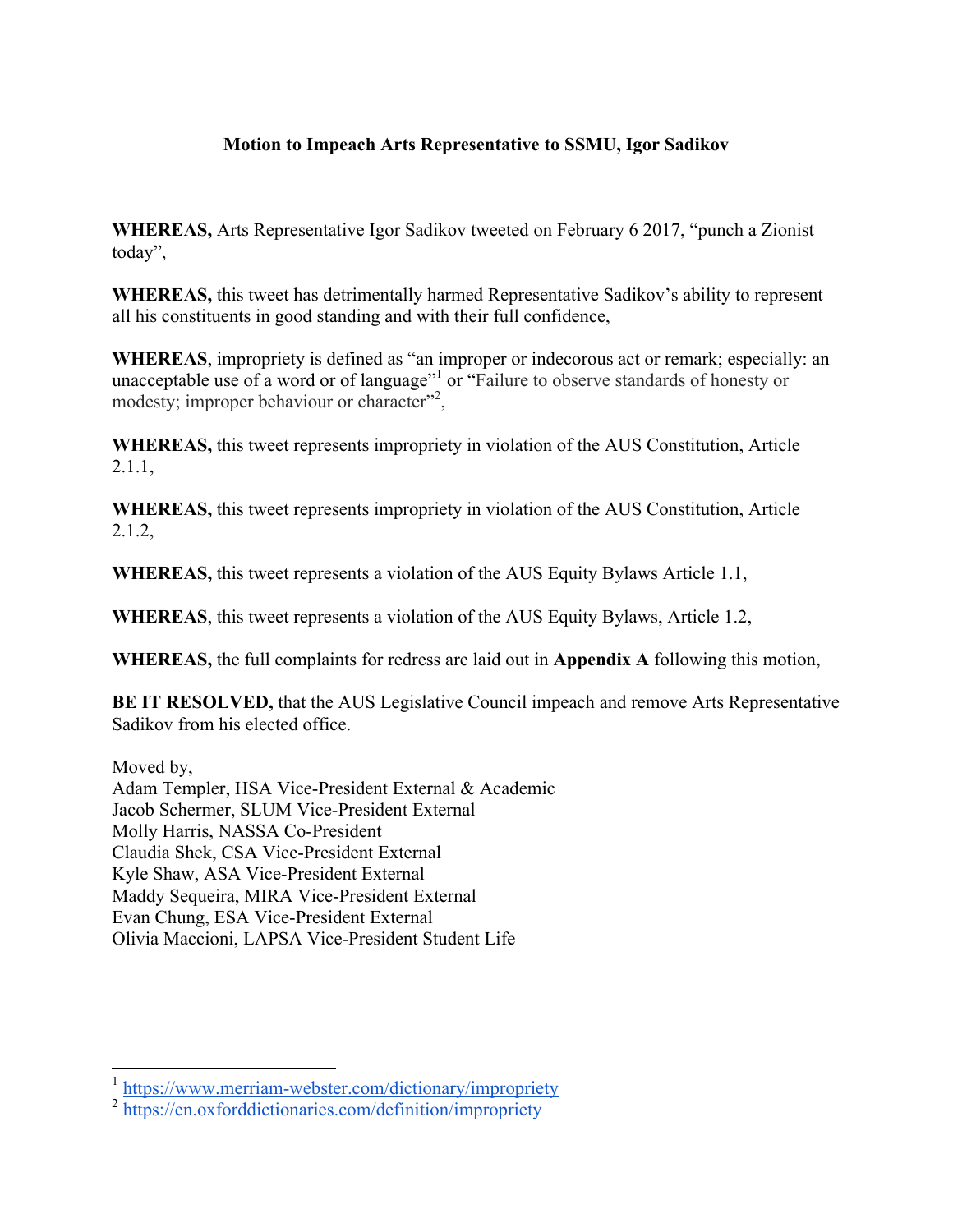## **Motion to Impeach Arts Representative to SSMU, Igor Sadikov**

**WHEREAS,** Arts Representative Igor Sadikov tweeted on February 6 2017, "punch a Zionist today",

**WHEREAS,** this tweet has detrimentally harmed Representative Sadikov's ability to represent all his constituents in good standing and with their full confidence,

**WHEREAS**, impropriety is defined as "an improper or indecorous act or remark; especially: an unacceptable use of a word or of language"<sup>1</sup> or "Failure to observe standards of honesty or modesty; improper behaviour or character"<sup>2</sup>,

**WHEREAS,** this tweet represents impropriety in violation of the AUS Constitution, Article 2.1.1,

**WHEREAS,** this tweet represents impropriety in violation of the AUS Constitution, Article 2.1.2,

**WHEREAS,** this tweet represents a violation of the AUS Equity Bylaws Article 1.1,

**WHEREAS**, this tweet represents a violation of the AUS Equity Bylaws, Article 1.2,

**WHEREAS,** the full complaints for redress are laid out in **Appendix A** following this motion,

**BE IT RESOLVED,** that the AUS Legislative Council impeach and remove Arts Representative Sadikov from his elected office.

Moved by,

Adam Templer, HSA Vice-President External & Academic Jacob Schermer, SLUM Vice-President External Molly Harris, NASSA Co-President Claudia Shek, CSA Vice-President External Kyle Shaw, ASA Vice-President External Maddy Sequeira, MIRA Vice-President External Evan Chung, ESA Vice-President External Olivia Maccioni, LAPSA Vice-President Student Life

<sup>&</sup>lt;sup>1</sup> https://www.merriam-webster.com/dictionary/impropriety

<sup>&</sup>lt;sup>2</sup> https://en.oxforddictionaries.com/definition/impropriety